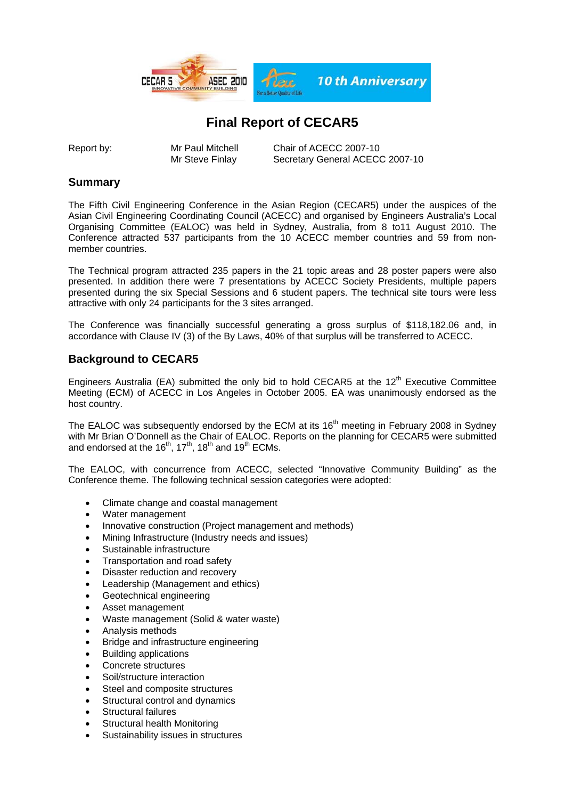

## **Final Report of CECAR5**

Report by: Mr Paul Mitchell Chair of ACECC 2007-10 Mr Steve Finlay Secretary General ACECC 2007-10

### **Summary**

The Fifth Civil Engineering Conference in the Asian Region (CECAR5) under the auspices of the Asian Civil Engineering Coordinating Council (ACECC) and organised by Engineers Australia's Local Organising Committee (EALOC) was held in Sydney, Australia, from 8 to11 August 2010. The Conference attracted 537 participants from the 10 ACECC member countries and 59 from nonmember countries.

The Technical program attracted 235 papers in the 21 topic areas and 28 poster papers were also presented. In addition there were 7 presentations by ACECC Society Presidents, multiple papers presented during the six Special Sessions and 6 student papers. The technical site tours were less attractive with only 24 participants for the 3 sites arranged.

The Conference was financially successful generating a gross surplus of \$118,182.06 and, in accordance with Clause IV (3) of the By Laws, 40% of that surplus will be transferred to ACECC.

## **Background to CECAR5**

Engineers Australia (EA) submitted the only bid to hold CECAR5 at the  $12<sup>th</sup>$  Executive Committee Meeting (ECM) of ACECC in Los Angeles in October 2005. EA was unanimously endorsed as the host country.

The EALOC was subsequently endorsed by the ECM at its 16<sup>th</sup> meeting in February 2008 in Sydney with Mr Brian O'Donnell as the Chair of EALOC. Reports on the planning for CECAR5 were submitted and endorsed at the  $16<sup>th</sup>$ ,  $17<sup>th</sup>$ ,  $18<sup>th</sup>$  and  $19<sup>th</sup>$  ECMs.

The EALOC, with concurrence from ACECC, selected "Innovative Community Building" as the Conference theme. The following technical session categories were adopted:

- Climate change and coastal management
- Water management
- Innovative construction (Project management and methods)
- Mining Infrastructure (Industry needs and issues)
- Sustainable infrastructure
- Transportation and road safety
- Disaster reduction and recovery
- Leadership (Management and ethics)
- Geotechnical engineering
- Asset management
- Waste management (Solid & water waste)
- Analysis methods
- Bridge and infrastructure engineering
- Building applications
- Concrete structures
- Soil/structure interaction
- Steel and composite structures
- Structural control and dynamics
- Structural failures
- Structural health Monitoring
- Sustainability issues in structures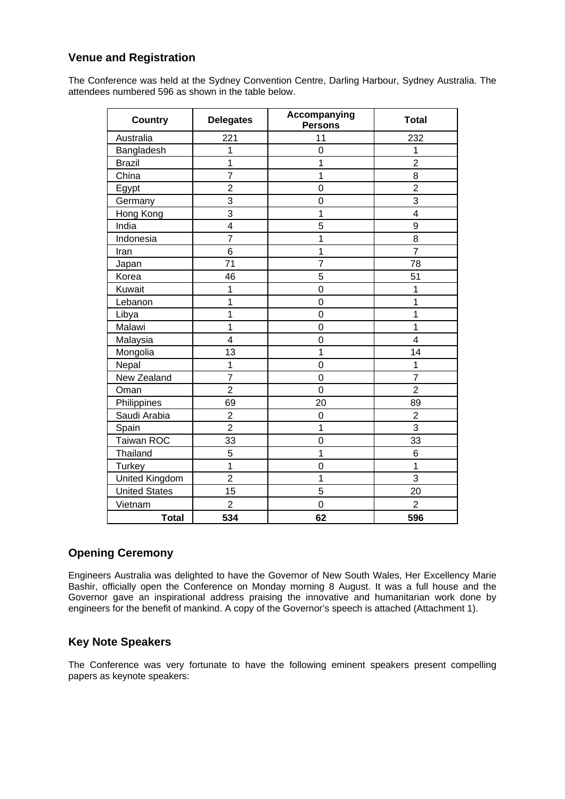### **Venue and Registration**

The Conference was held at the Sydney Convention Centre, Darling Harbour, Sydney Australia. The attendees numbered 596 as shown in the table below.

| <b>Country</b>       | <b>Delegates</b> | Accompanying<br><b>Persons</b> | <b>Total</b>   |
|----------------------|------------------|--------------------------------|----------------|
| Australia            | 221              | 11                             | 232            |
| Bangladesh           | 1                | $\overline{0}$                 | 1              |
| <b>Brazil</b>        | $\mathbf 1$      | 1                              | $\overline{2}$ |
| China                | $\overline{7}$   | 1                              | 8              |
| Egypt                | $\overline{2}$   | $\overline{0}$                 | $\overline{2}$ |
| Germany              | 3                | $\overline{0}$                 | 3              |
| Hong Kong            | $\overline{3}$   | 1                              | 4              |
| India                | 4                | 5                              | 9              |
| Indonesia            | $\overline{7}$   | 1                              | 8              |
| Iran                 | 6                | 1                              | $\overline{7}$ |
| Japan                | 71               | $\overline{7}$                 | 78             |
| Korea                | 46               | 5                              | 51             |
| Kuwait               | 1                | $\overline{0}$                 | 1              |
| Lebanon              | 1                | $\mathbf 0$                    | 1              |
| Libya                | 1                | $\overline{0}$                 | 1              |
| Malawi               | 1                | $\mathbf 0$                    | 1              |
| Malaysia             | $\overline{4}$   | $\overline{0}$                 | $\overline{4}$ |
| Mongolia             | 13               | 1                              | 14             |
| Nepal                | 1                | $\overline{0}$                 | 1              |
| New Zealand          | $\overline{7}$   | $\mathbf 0$                    | $\overline{7}$ |
| Oman                 | $\overline{2}$   | $\overline{0}$                 | $\overline{2}$ |
| Philippines          | 69               | 20                             | 89             |
| Saudi Arabia         | $\overline{2}$   | $\mathbf 0$                    | $\overline{2}$ |
| Spain                | $\overline{2}$   | 1                              | 3              |
| <b>Taiwan ROC</b>    | 33               | $\overline{0}$                 | 33             |
| Thailand             | 5                | 1                              | 6              |
| <b>Turkey</b>        | 1                | $\overline{0}$                 | 1              |
| United Kingdom       | $\overline{2}$   | 1                              | 3              |
| <b>United States</b> | 15               | 5                              | 20             |
| Vietnam              | 2                | $\Omega$                       | $\overline{2}$ |
| <b>Total</b>         | 534              | 62                             | 596            |

### **Opening Ceremony**

Engineers Australia was delighted to have the Governor of New South Wales, Her Excellency Marie Bashir, officially open the Conference on Monday morning 8 August. It was a full house and the Governor gave an inspirational address praising the innovative and humanitarian work done by engineers for the benefit of mankind. A copy of the Governor's speech is attached (Attachment 1).

#### **Key Note Speakers**

The Conference was very fortunate to have the following eminent speakers present compelling papers as keynote speakers: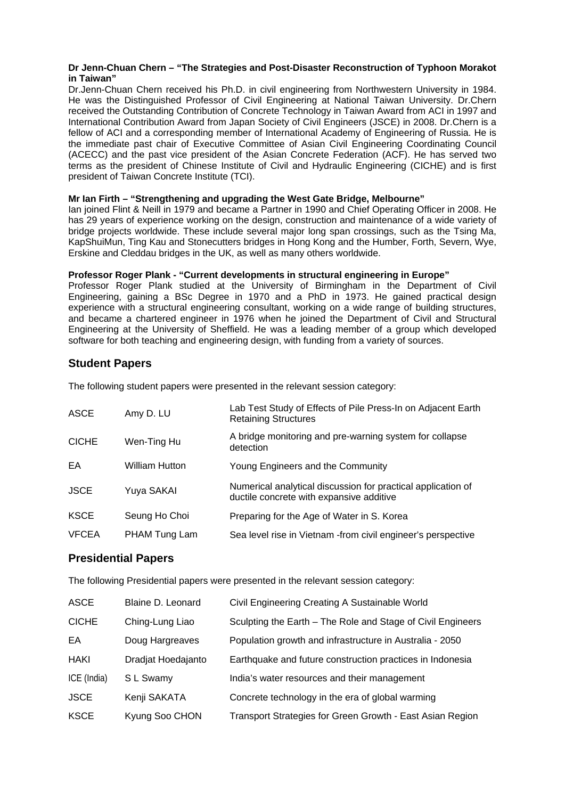#### **Dr Jenn-Chuan Chern – "The Strategies and Post-Disaster Reconstruction of Typhoon Morakot in Taiwan"**

Dr.Jenn-Chuan Chern received his Ph.D. in civil engineering from Northwestern University in 1984. He was the Distinguished Professor of Civil Engineering at National Taiwan University. Dr.Chern received the Outstanding Contribution of Concrete Technology in Taiwan Award from ACI in 1997 and International Contribution Award from Japan Society of Civil Engineers (JSCE) in 2008. Dr.Chern is a fellow of ACI and a corresponding member of International Academy of Engineering of Russia. He is the immediate past chair of Executive Committee of Asian Civil Engineering Coordinating Council (ACECC) and the past vice president of the Asian Concrete Federation (ACF). He has served two terms as the president of Chinese Institute of Civil and Hydraulic Engineering (CICHE) and is first president of Taiwan Concrete Institute (TCI).

#### **Mr Ian Firth – "Strengthening and upgrading the West Gate Bridge, Melbourne"**

Ian joined Flint & Neill in 1979 and became a Partner in 1990 and Chief Operating Officer in 2008. He has 29 years of experience working on the design, construction and maintenance of a wide variety of bridge projects worldwide. These include several major long span crossings, such as the Tsing Ma, KapShuiMun, Ting Kau and Stonecutters bridges in Hong Kong and the Humber, Forth, Severn, Wye, Erskine and Cleddau bridges in the UK, as well as many others worldwide.

#### **Professor Roger Plank - "Current developments in structural engineering in Europe"**

Professor Roger Plank studied at the University of Birmingham in the Department of Civil Engineering, gaining a BSc Degree in 1970 and a PhD in 1973. He gained practical design experience with a structural engineering consultant, working on a wide range of building structures, and became a chartered engineer in 1976 when he joined the Department of Civil and Structural Engineering at the University of Sheffield. He was a leading member of a group which developed software for both teaching and engineering design, with funding from a variety of sources.

### **Student Papers**

The following student papers were presented in the relevant session category:

| <b>ASCE</b>  | Amy D. LU      | Lab Test Study of Effects of Pile Press-In on Adjacent Earth<br><b>Retaining Structures</b>              |
|--------------|----------------|----------------------------------------------------------------------------------------------------------|
| <b>CICHE</b> | Wen-Ting Hu    | A bridge monitoring and pre-warning system for collapse<br>detection                                     |
| EA           | William Hutton | Young Engineers and the Community                                                                        |
| <b>JSCE</b>  | Yuya SAKAI     | Numerical analytical discussion for practical application of<br>ductile concrete with expansive additive |
| <b>KSCE</b>  | Seung Ho Choi  | Preparing for the Age of Water in S. Korea                                                               |
| <b>VFCEA</b> | PHAM Tung Lam  | Sea level rise in Vietnam - from civil engineer's perspective                                            |

#### **Presidential Papers**

The following Presidential papers were presented in the relevant session category:

| <b>ASCE</b>  | Blaine D. Leonard  | Civil Engineering Creating A Sustainable World              |
|--------------|--------------------|-------------------------------------------------------------|
| <b>CICHE</b> | Ching-Lung Liao    | Sculpting the Earth - The Role and Stage of Civil Engineers |
| EA           | Doug Hargreaves    | Population growth and infrastructure in Australia - 2050    |
| <b>HAKI</b>  | Dradjat Hoedajanto | Earthquake and future construction practices in Indonesia   |
| ICE (India)  | S L Swamy          | India's water resources and their management                |
| <b>JSCE</b>  | Kenji SAKATA       | Concrete technology in the era of global warming            |
| <b>KSCE</b>  | Kyung Soo CHON     | Transport Strategies for Green Growth - East Asian Region   |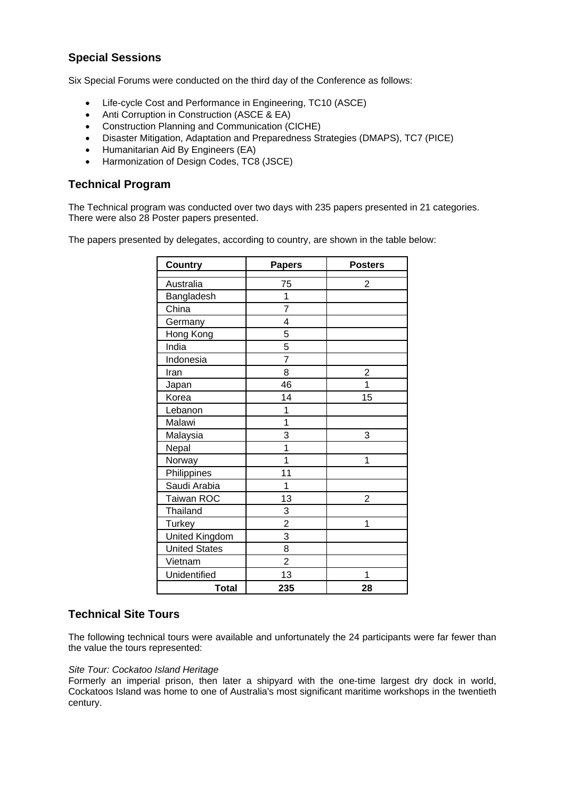## **Special Sessions**

Six Special Forums were conducted on the third day of the Conference as follows:

- Life-cycle Cost and Performance in Engineering, TC10 (ASCE)
- Anti Corruption in Construction (ASCE & EA)
- Construction Planning and Communication (CICHE)
- Disaster Mitigation, Adaptation and Preparedness Strategies (DMAPS), TC7 (PICE)
- Humanitarian Aid By Engineers (EA)
- Harmonization of Design Codes, TC8 (JSCE)

#### **Technical Program**

The Technical program was conducted over two days with 235 papers presented in 21 categories. There were also 28 Poster papers presented.

The papers presented by delegates, according to country, are shown in the table below:

| <b>Country</b>        | <b>Papers</b>  | <b>Posters</b> |
|-----------------------|----------------|----------------|
|                       |                |                |
| Australia             | 75             | 2              |
| Bangladesh            | 1              |                |
| China                 | $\overline{7}$ |                |
| Germany               | 4              |                |
| Hong Kong             | 5              |                |
| India                 | 5              |                |
| Indonesia             | $\overline{7}$ |                |
| Iran                  | 8              | $\overline{2}$ |
| Japan                 | 46             | 1              |
| Korea                 | 14             | 15             |
| Lebanon               | 1              |                |
| Malawi                | $\overline{1}$ |                |
| Malaysia              | 3              | 3              |
| Nepal                 | 1              |                |
| Norway                | 1              | 1              |
| Philippines           | 11             |                |
| Saudi Arabia          | 1              |                |
| Taiwan ROC            | 13             | 2              |
| <b>Thailand</b>       | 3              |                |
| <b>Turkey</b>         | $\overline{2}$ | 1              |
| <b>United Kingdom</b> | 3              |                |
| <b>United States</b>  | 8              |                |
| Vietnam               | $\overline{2}$ |                |
| Unidentified          | 13             | 1              |
| <b>Total</b>          | 235            | 28             |

#### **Technical Site Tours**

The following technical tours were available and unfortunately the 24 participants were far fewer than the value the tours represented:

#### *Site Tour: Cockatoo Island Heritage*

Formerly an imperial prison, then later a shipyard with the one-time largest dry dock in world, Cockatoos Island was home to one of Australia's most significant maritime workshops in the twentieth century.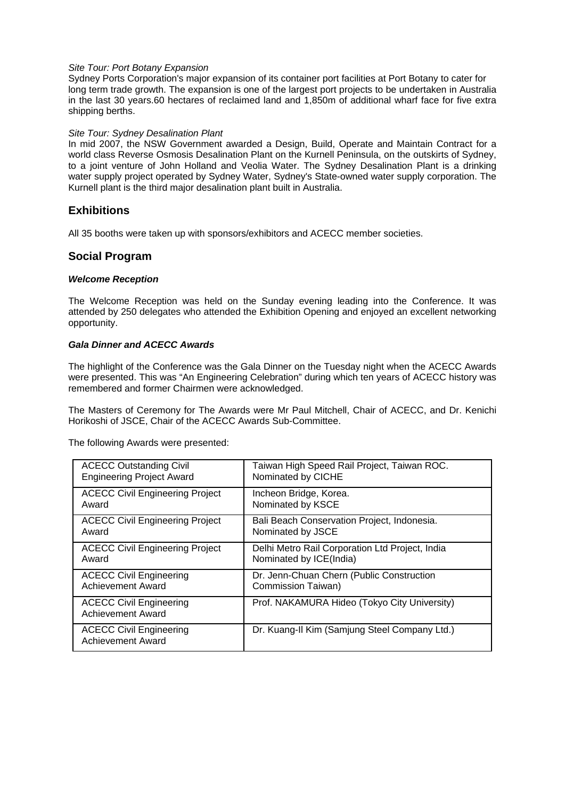#### *Site Tour: Port Botany Expansion*

Sydney Ports Corporation's major expansion of its container port facilities at Port Botany to cater for long term trade growth. The expansion is one of the largest port projects to be undertaken in Australia in the last 30 years.60 hectares of reclaimed land and 1,850m of additional wharf face for five extra shipping berths.

#### *Site Tour: Sydney Desalination Plant*

In mid 2007, the NSW Government awarded a Design, Build, Operate and Maintain Contract for a world class Reverse Osmosis Desalination Plant on the Kurnell Peninsula, on the outskirts of Sydney, to a joint venture of John Holland and Veolia Water. The Sydney Desalination Plant is a drinking water supply project operated by Sydney Water, Sydney's State-owned water supply corporation. The Kurnell plant is the third major desalination plant built in Australia.

#### **Exhibitions**

All 35 booths were taken up with sponsors/exhibitors and ACECC member societies.

#### **Social Program**

#### *Welcome Reception*

The Welcome Reception was held on the Sunday evening leading into the Conference. It was attended by 250 delegates who attended the Exhibition Opening and enjoyed an excellent networking opportunity.

#### *Gala Dinner and ACECC Awards*

The highlight of the Conference was the Gala Dinner on the Tuesday night when the ACECC Awards were presented. This was "An Engineering Celebration" during which ten years of ACECC history was remembered and former Chairmen were acknowledged.

The Masters of Ceremony for The Awards were Mr Paul Mitchell, Chair of ACECC, and Dr. Kenichi Horikoshi of JSCE, Chair of the ACECC Awards Sub-Committee.

The following Awards were presented:

| <b>ACECC Outstanding Civil</b>                             | Taiwan High Speed Rail Project, Taiwan ROC.     |
|------------------------------------------------------------|-------------------------------------------------|
| <b>Engineering Project Award</b>                           | Nominated by CICHE                              |
| <b>ACECC Civil Engineering Project</b>                     | Incheon Bridge, Korea.                          |
| Award                                                      | Nominated by KSCE                               |
| <b>ACECC Civil Engineering Project</b>                     | Bali Beach Conservation Project, Indonesia.     |
| Award                                                      | Nominated by JSCE                               |
| <b>ACECC Civil Engineering Project</b>                     | Delhi Metro Rail Corporation Ltd Project, India |
| Award                                                      | Nominated by ICE(India)                         |
| <b>ACECC Civil Engineering</b>                             | Dr. Jenn-Chuan Chern (Public Construction       |
| Achievement Award                                          | Commission Taiwan)                              |
| <b>ACECC Civil Engineering</b><br>Achievement Award        | Prof. NAKAMURA Hideo (Tokyo City University)    |
| <b>ACECC Civil Engineering</b><br><b>Achievement Award</b> | Dr. Kuang-II Kim (Samjung Steel Company Ltd.)   |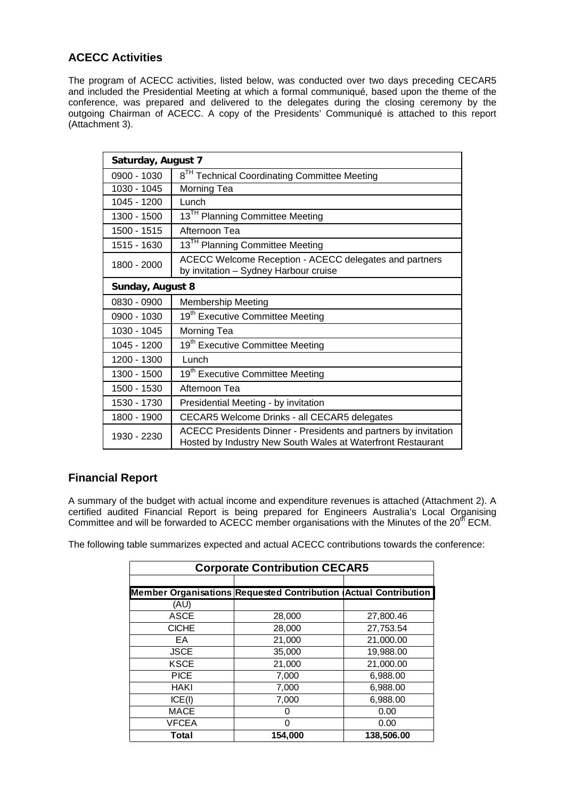## **ACECC Activities**

The program of ACECC activities, listed below, was conducted over two days preceding CECAR5 and included the Presidential Meeting at which a formal communiqué, based upon the theme of the conference, was prepared and delivered to the delegates during the closing ceremony by the outgoing Chairman of ACECC. A copy of the Presidents' Communiqué is attached to this report (Attachment 3).

| Saturday, August 7 |                                                                                                                                |  |
|--------------------|--------------------------------------------------------------------------------------------------------------------------------|--|
| 0900 - 1030        | 8 <sup>TH</sup> Technical Coordinating Committee Meeting                                                                       |  |
| 1030 - 1045        | Morning Tea                                                                                                                    |  |
| 1045 - 1200        | Lunch                                                                                                                          |  |
| 1300 - 1500        | 13 <sup>TH</sup> Planning Committee Meeting                                                                                    |  |
| 1500 - 1515        | Afternoon Tea                                                                                                                  |  |
| 1515 - 1630        | 13 <sup>TH</sup> Planning Committee Meeting                                                                                    |  |
| 1800 - 2000        | ACECC Welcome Reception - ACECC delegates and partners<br>by invitation - Sydney Harbour cruise                                |  |
| Sunday, August 8   |                                                                                                                                |  |
| 0830 - 0900        | <b>Membership Meeting</b>                                                                                                      |  |
| 0900 - 1030        | 19 <sup>th</sup> Executive Committee Meeting                                                                                   |  |
| 1030 - 1045        | Morning Tea                                                                                                                    |  |
| 1045 - 1200        | 19 <sup>th</sup> Executive Committee Meeting                                                                                   |  |
| 1200 - 1300        | Lunch                                                                                                                          |  |
| 1300 - 1500        | 19 <sup>th</sup> Executive Committee Meeting                                                                                   |  |
| 1500 - 1530        | Afternoon Tea                                                                                                                  |  |
| 1530 - 1730        | Presidential Meeting - by invitation                                                                                           |  |
| 1800 - 1900        | CECAR5 Welcome Drinks - all CECAR5 delegates                                                                                   |  |
| 1930 - 2230        | ACECC Presidents Dinner - Presidents and partners by invitation<br>Hosted by Industry New South Wales at Waterfront Restaurant |  |

## **Financial Report**

A summary of the budget with actual income and expenditure revenues is attached (Attachment 2). A certified audited Financial Report is being prepared for Engineers Australia's Local Organising Committee and will be forwarded to ACECC member organisations with the Minutes of the 20<sup>th</sup> ECM.

The following table summarizes expected and actual ACECC contributions towards the conference:

| <b>Corporate Contribution CECAR5</b> |                                                                  |            |  |
|--------------------------------------|------------------------------------------------------------------|------------|--|
|                                      |                                                                  |            |  |
|                                      | Member Organisations Requested Contribution (Actual Contribution |            |  |
| (AU)                                 |                                                                  |            |  |
| <b>ASCE</b>                          | 28,000                                                           | 27,800.46  |  |
| <b>CICHE</b>                         | 28,000                                                           | 27,753.54  |  |
| EA                                   | 21,000                                                           | 21,000.00  |  |
| <b>JSCE</b>                          | 35,000                                                           | 19,988.00  |  |
| <b>KSCE</b>                          | 21,000                                                           | 21,000.00  |  |
| <b>PICE</b>                          | 7,000                                                            | 6,988.00   |  |
| <b>HAKI</b>                          | 7,000                                                            | 6,988.00   |  |
| ICE(I)                               | 7,000                                                            | 6,988.00   |  |
| <b>MACE</b>                          |                                                                  | 0.00       |  |
| <b>VFCEA</b>                         | 0                                                                | 0.00       |  |
| Total                                | 154,000                                                          | 138,506.00 |  |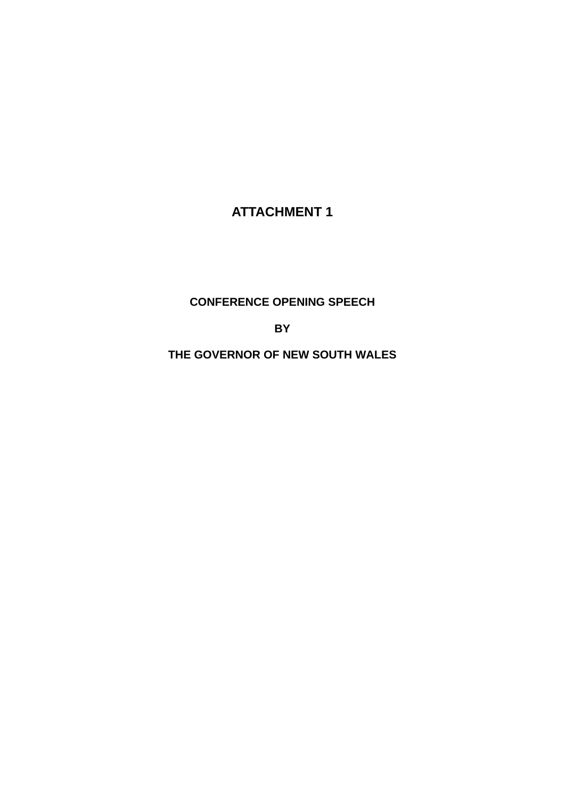# **ATTACHMENT 1**

## **CONFERENCE OPENING SPEECH**

**BY** 

**THE GOVERNOR OF NEW SOUTH WALES**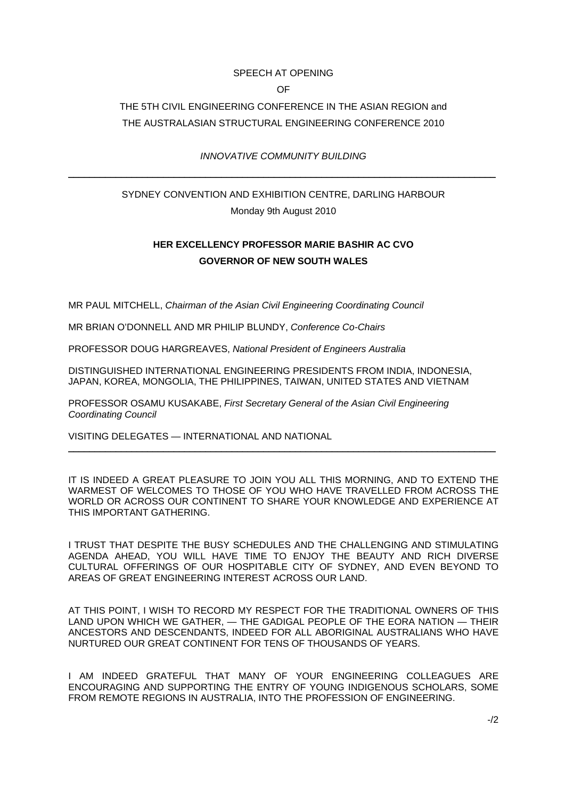#### SPEECH AT OPENING

OF

## THE 5TH CIVIL ENGINEERING CONFERENCE IN THE ASIAN REGION and THE AUSTRALASIAN STRUCTURAL ENGINEERING CONFERENCE 2010

## *INNOVATIVE COMMUNITY BUILDING*  \_\_\_\_\_\_\_\_\_\_\_\_\_\_\_\_\_\_\_\_\_\_\_\_\_\_\_\_\_\_\_\_\_\_\_\_\_\_\_\_\_\_\_\_\_\_\_\_\_\_\_\_\_\_\_\_\_\_\_\_\_\_\_\_\_\_\_\_\_\_\_\_\_\_\_\_\_\_\_\_\_

## SYDNEY CONVENTION AND EXHIBITION CENTRE, DARLING HARBOUR Monday 9th August 2010

## **HER EXCELLENCY PROFESSOR MARIE BASHIR AC CVO GOVERNOR OF NEW SOUTH WALES**

MR PAUL MITCHELL, *Chairman of the Asian Civil Engineering Coordinating Council* 

MR BRIAN O'DONNELL AND MR PHILIP BLUNDY, *Conference Co-Chairs* 

PROFESSOR DOUG HARGREAVES, *National President of Engineers Australia* 

DISTINGUISHED INTERNATIONAL ENGINEERING PRESIDENTS FROM INDIA, INDONESIA, JAPAN, KOREA, MONGOLIA, THE PHILIPPINES, TAIWAN, UNITED STATES AND VIETNAM

PROFESSOR OSAMU KUSAKABE, *First Secretary General of the Asian Civil Engineering Coordinating Council* 

VISITING DELEGATES — INTERNATIONAL AND NATIONAL

IT IS INDEED A GREAT PLEASURE TO JOIN YOU ALL THIS MORNING, AND TO EXTEND THE WARMEST OF WELCOMES TO THOSE OF YOU WHO HAVE TRAVELLED FROM ACROSS THE WORLD OR ACROSS OUR CONTINENT TO SHARE YOUR KNOWLEDGE AND EXPERIENCE AT THIS IMPORTANT GATHERING.

\_\_\_\_\_\_\_\_\_\_\_\_\_\_\_\_\_\_\_\_\_\_\_\_\_\_\_\_\_\_\_\_\_\_\_\_\_\_\_\_\_\_\_\_\_\_\_\_\_\_\_\_\_\_\_\_\_\_\_\_\_\_\_\_\_\_\_\_\_\_\_\_\_\_\_\_\_\_\_\_\_

I TRUST THAT DESPITE THE BUSY SCHEDULES AND THE CHALLENGING AND STIMULATING AGENDA AHEAD, YOU WILL HAVE TIME TO ENJOY THE BEAUTY AND RICH DIVERSE CULTURAL OFFERINGS OF OUR HOSPITABLE CITY OF SYDNEY, AND EVEN BEYOND TO AREAS OF GREAT ENGINEERING INTEREST ACROSS OUR LAND.

AT THIS POINT, I WISH TO RECORD MY RESPECT FOR THE TRADITIONAL OWNERS OF THIS LAND UPON WHICH WE GATHER, — THE GADIGAL PEOPLE OF THE EORA NATION — THEIR ANCESTORS AND DESCENDANTS, INDEED FOR ALL ABORIGINAL AUSTRALIANS WHO HAVE NURTURED OUR GREAT CONTINENT FOR TENS OF THOUSANDS OF YEARS.

I AM INDEED GRATEFUL THAT MANY OF YOUR ENGINEERING COLLEAGUES ARE ENCOURAGING AND SUPPORTING THE ENTRY OF YOUNG INDIGENOUS SCHOLARS, SOME FROM REMOTE REGIONS IN AUSTRALIA, INTO THE PROFESSION OF ENGINEERING.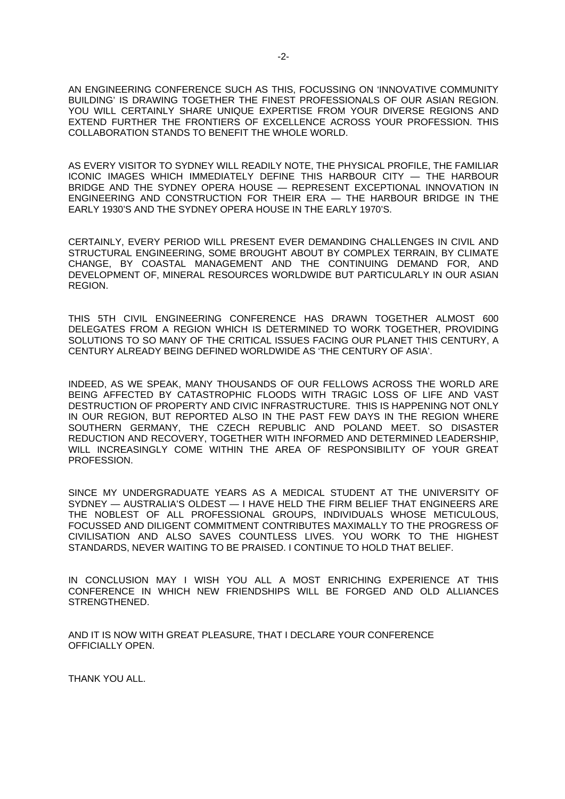AN ENGINEERING CONFERENCE SUCH AS THIS, FOCUSSING ON 'INNOVATIVE COMMUNITY BUILDING' IS DRAWING TOGETHER THE FINEST PROFESSIONALS OF OUR ASIAN REGION. YOU WILL CERTAINLY SHARE UNIQUE EXPERTISE FROM YOUR DIVERSE REGIONS AND EXTEND FURTHER THE FRONTIERS OF EXCELLENCE ACROSS YOUR PROFESSION. THIS COLLABORATION STANDS TO BENEFIT THE WHOLE WORLD.

AS EVERY VISITOR TO SYDNEY WILL READILY NOTE, THE PHYSICAL PROFILE, THE FAMILIAR ICONIC IMAGES WHICH IMMEDIATELY DEFINE THIS HARBOUR CITY — THE HARBOUR BRIDGE AND THE SYDNEY OPERA HOUSE — REPRESENT EXCEPTIONAL INNOVATION IN ENGINEERING AND CONSTRUCTION FOR THEIR ERA — THE HARBOUR BRIDGE IN THE EARLY 1930'S AND THE SYDNEY OPERA HOUSE IN THE EARLY 1970'S.

CERTAINLY, EVERY PERIOD WILL PRESENT EVER DEMANDING CHALLENGES IN CIVIL AND STRUCTURAL ENGINEERING, SOME BROUGHT ABOUT BY COMPLEX TERRAIN, BY CLIMATE CHANGE, BY COASTAL MANAGEMENT AND THE CONTINUING DEMAND FOR, AND DEVELOPMENT OF, MINERAL RESOURCES WORLDWIDE BUT PARTICULARLY IN OUR ASIAN REGION.

THIS 5TH CIVIL ENGINEERING CONFERENCE HAS DRAWN TOGETHER ALMOST 600 DELEGATES FROM A REGION WHICH IS DETERMINED TO WORK TOGETHER, PROVIDING SOLUTIONS TO SO MANY OF THE CRITICAL ISSUES FACING OUR PLANET THIS CENTURY, A CENTURY ALREADY BEING DEFINED WORLDWIDE AS 'THE CENTURY OF ASIA'.

INDEED, AS WE SPEAK, MANY THOUSANDS OF OUR FELLOWS ACROSS THE WORLD ARE BEING AFFECTED BY CATASTROPHIC FLOODS WITH TRAGIC LOSS OF LIFE AND VAST DESTRUCTION OF PROPERTY AND CIVIC INFRASTRUCTURE. THIS IS HAPPENING NOT ONLY IN OUR REGION, BUT REPORTED ALSO IN THE PAST FEW DAYS IN THE REGION WHERE SOUTHERN GERMANY, THE CZECH REPUBLIC AND POLAND MEET. SO DISASTER REDUCTION AND RECOVERY, TOGETHER WITH INFORMED AND DETERMINED LEADERSHIP, WILL INCREASINGLY COME WITHIN THE AREA OF RESPONSIBILITY OF YOUR GREAT PROFESSION.

SINCE MY UNDERGRADUATE YEARS AS A MEDICAL STUDENT AT THE UNIVERSITY OF SYDNEY — AUSTRALIA'S OLDEST — I HAVE HELD THE FIRM BELIEF THAT ENGINEERS ARE THE NOBLEST OF ALL PROFESSIONAL GROUPS, INDIVIDUALS WHOSE METICULOUS, FOCUSSED AND DILIGENT COMMITMENT CONTRIBUTES MAXIMALLY TO THE PROGRESS OF CIVILISATION AND ALSO SAVES COUNTLESS LIVES. YOU WORK TO THE HIGHEST STANDARDS, NEVER WAITING TO BE PRAISED. I CONTINUE TO HOLD THAT BELIEF.

IN CONCLUSION MAY I WISH YOU ALL A MOST ENRICHING EXPERIENCE AT THIS CONFERENCE IN WHICH NEW FRIENDSHIPS WILL BE FORGED AND OLD ALLIANCES STRENGTHENED.

AND IT IS NOW WITH GREAT PLEASURE, THAT I DECLARE YOUR CONFERENCE OFFICIALLY OPEN.

THANK YOU ALL.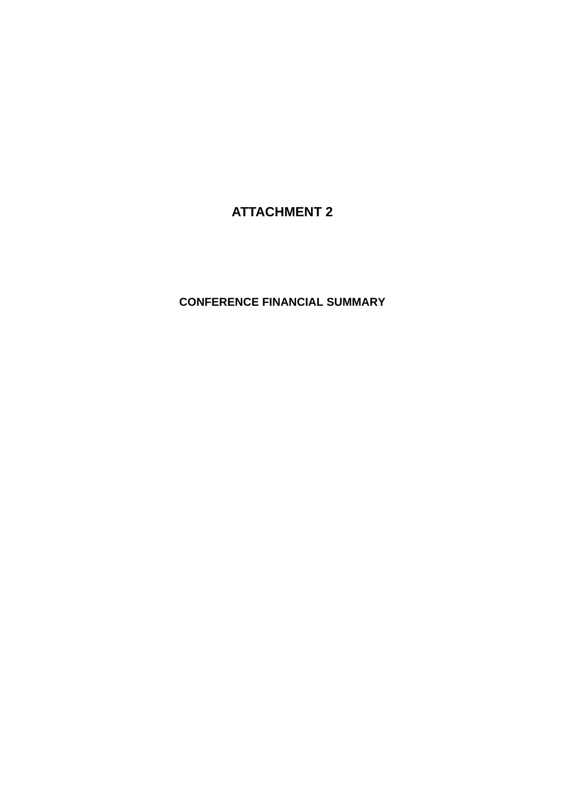## **ATTACHMENT 2**

## **CONFERENCE FINANCIAL SUMMARY**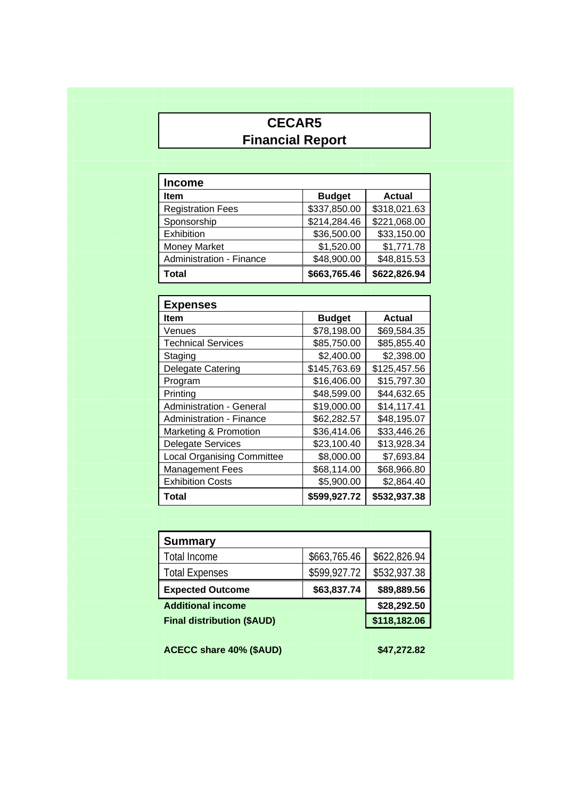# **CECAR5 Financial Report**

| <b>Income</b>            |               |               |
|--------------------------|---------------|---------------|
| <b>Item</b>              | <b>Budget</b> | <b>Actual</b> |
| <b>Registration Fees</b> | \$337,850.00  | \$318,021.63  |
| Sponsorship              | \$214,284.46  | \$221,068.00  |
| Exhibition               | \$36,500.00   | \$33,150.00   |
| <b>Money Market</b>      | \$1,520.00    | \$1,771.78    |
| Administration - Finance | \$48,900.00   | \$48,815.53   |
| <b>Total</b>             | \$663,765.46  | \$622,826.94  |

| <b>Expenses</b>                   |               |               |  |
|-----------------------------------|---------------|---------------|--|
| <b>Item</b>                       | <b>Budget</b> | <b>Actual</b> |  |
| Venues                            | \$78,198.00   | \$69,584.35   |  |
| <b>Technical Services</b>         | \$85,750.00   | \$85,855.40   |  |
| Staging                           | \$2,400.00    | \$2,398.00    |  |
| <b>Delegate Catering</b>          | \$145,763.69  | \$125,457.56  |  |
| Program                           | \$16,406.00   | \$15,797.30   |  |
| Printing                          | \$48,599.00   | \$44,632.65   |  |
| <b>Administration - General</b>   | \$19,000.00   | \$14,117.41   |  |
| <b>Administration - Finance</b>   | \$62,282.57   | \$48,195.07   |  |
| Marketing & Promotion             | \$36,414.06   | \$33,446.26   |  |
| <b>Delegate Services</b>          | \$23,100.40   | \$13,928.34   |  |
| <b>Local Organising Committee</b> | \$8,000.00    | \$7,693.84    |  |
| <b>Management Fees</b>            | \$68,114.00   | \$68,966.80   |  |
| <b>Exhibition Costs</b>           | \$5,900.00    | \$2,864.40    |  |
| Total                             | \$599,927.72  | \$532,937.38  |  |

| <b>Summary</b>                    |              |              |
|-----------------------------------|--------------|--------------|
| Total Income                      | \$663,765.46 | \$622,826.94 |
| <b>Total Expenses</b>             | \$599,927.72 | \$532,937.38 |
| <b>Expected Outcome</b>           | \$63,837.74  | \$89,889.56  |
| <b>Additional income</b>          |              | \$28,292.50  |
| <b>Final distribution (\$AUD)</b> |              | \$118,182.06 |
|                                   |              |              |

**ACECC share 40% (\$AUD)** \$47,272.82